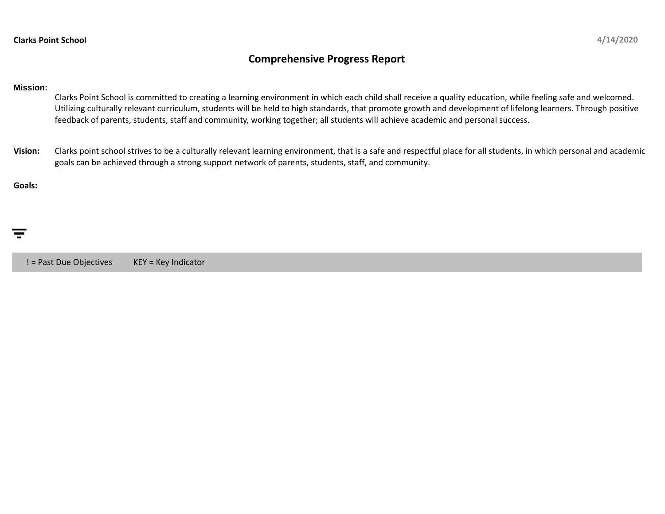## **Comprehensive Progress Report**

## **Mission:**

Clarks Point School is committed to creating a learning environment in which each child shall receive a quality education, while feeling safe and welcomed. Utilizing culturally relevant curriculum, students will be held to high standards, that promote growth and development of lifelong learners. Through positive feedback of parents, students, staff and community, working together; all students will achieve academic and personal success.

**Vision:** Clarks point school strives to be a culturally relevant learning environment, that is a safe and respectful place for all students, in which personal and academic goals can be achieved through a strong support network of parents, students, staff, and community.

## **Goals:**

! = Past Due Objectives KEY = Key Indicator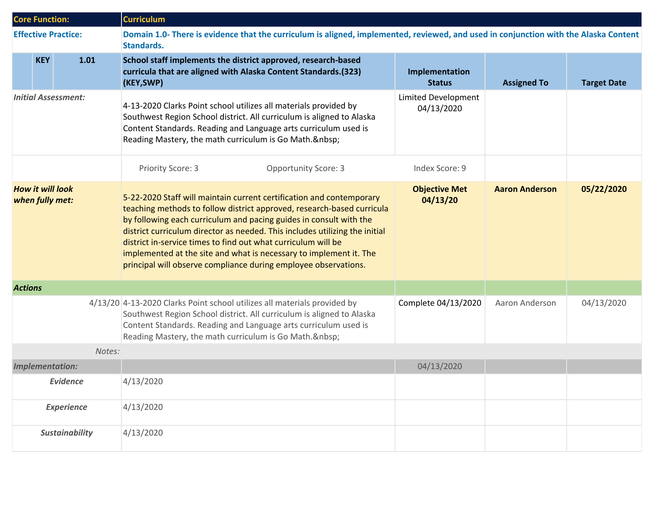| <b>Core Function:</b>                      |            |                            | <b>Curriculum</b>                                                                                                                                                                                                                                                                                                                                                                                                                                                                                             |                                          |                       |                    |  |  |
|--------------------------------------------|------------|----------------------------|---------------------------------------------------------------------------------------------------------------------------------------------------------------------------------------------------------------------------------------------------------------------------------------------------------------------------------------------------------------------------------------------------------------------------------------------------------------------------------------------------------------|------------------------------------------|-----------------------|--------------------|--|--|
|                                            |            | <b>Effective Practice:</b> | Domain 1.0- There is evidence that the curriculum is aligned, implemented, reviewed, and used in conjunction with the Alaska Content<br>Standards.                                                                                                                                                                                                                                                                                                                                                            |                                          |                       |                    |  |  |
|                                            | <b>KEY</b> | 1.01                       | School staff implements the district approved, research-based<br>curricula that are aligned with Alaska Content Standards.(323)<br>(KEY, SWP)                                                                                                                                                                                                                                                                                                                                                                 | Implementation<br><b>Status</b>          | <b>Assigned To</b>    | <b>Target Date</b> |  |  |
| <b>Initial Assessment:</b>                 |            |                            | 4-13-2020 Clarks Point school utilizes all materials provided by<br>Southwest Region School district. All curriculum is aligned to Alaska<br>Content Standards. Reading and Language arts curriculum used is<br>Reading Mastery, the math curriculum is Go Math.                                                                                                                                                                                                                                              | <b>Limited Development</b><br>04/13/2020 |                       |                    |  |  |
|                                            |            |                            | Priority Score: 3<br><b>Opportunity Score: 3</b>                                                                                                                                                                                                                                                                                                                                                                                                                                                              | Index Score: 9                           |                       |                    |  |  |
| <b>How it will look</b><br>when fully met: |            |                            | 5-22-2020 Staff will maintain current certification and contemporary<br>teaching methods to follow district approved, research-based curricula<br>by following each curriculum and pacing guides in consult with the<br>district curriculum director as needed. This includes utilizing the initial<br>district in-service times to find out what curriculum will be<br>implemented at the site and what is necessary to implement it. The<br>principal will observe compliance during employee observations. | <b>Objective Met</b><br>04/13/20         | <b>Aaron Anderson</b> | 05/22/2020         |  |  |
| <b>Actions</b>                             |            |                            |                                                                                                                                                                                                                                                                                                                                                                                                                                                                                                               |                                          |                       |                    |  |  |
|                                            |            |                            | 4/13/20 4-13-2020 Clarks Point school utilizes all materials provided by<br>Southwest Region School district. All curriculum is aligned to Alaska<br>Content Standards. Reading and Language arts curriculum used is<br>Reading Mastery, the math curriculum is Go Math.                                                                                                                                                                                                                                      | Complete 04/13/2020                      | Aaron Anderson        | 04/13/2020         |  |  |
|                                            |            | Notes:                     |                                                                                                                                                                                                                                                                                                                                                                                                                                                                                                               |                                          |                       |                    |  |  |
| <b>Implementation:</b>                     |            |                            |                                                                                                                                                                                                                                                                                                                                                                                                                                                                                                               | 04/13/2020                               |                       |                    |  |  |
| <b>Evidence</b>                            |            |                            | 4/13/2020                                                                                                                                                                                                                                                                                                                                                                                                                                                                                                     |                                          |                       |                    |  |  |
|                                            |            | <b>Experience</b>          | 4/13/2020                                                                                                                                                                                                                                                                                                                                                                                                                                                                                                     |                                          |                       |                    |  |  |
| <b>Sustainability</b>                      |            |                            | 4/13/2020                                                                                                                                                                                                                                                                                                                                                                                                                                                                                                     |                                          |                       |                    |  |  |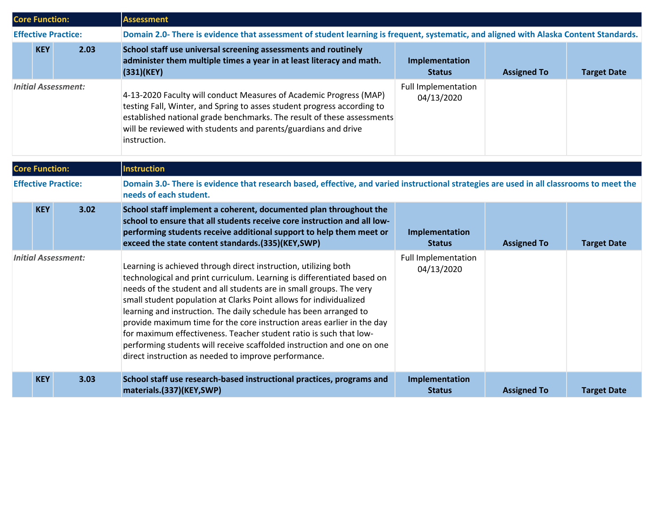| <b>Core Function:</b>      |            |                            | <b>Assessment</b>                                                                                                                                                                                                                                                                                                                                                                                                                                                                                                                                                                                                                              |                                          |                    |                    |  |  |
|----------------------------|------------|----------------------------|------------------------------------------------------------------------------------------------------------------------------------------------------------------------------------------------------------------------------------------------------------------------------------------------------------------------------------------------------------------------------------------------------------------------------------------------------------------------------------------------------------------------------------------------------------------------------------------------------------------------------------------------|------------------------------------------|--------------------|--------------------|--|--|
|                            |            | <b>Effective Practice:</b> | Domain 2.0- There is evidence that assessment of student learning is frequent, systematic, and aligned with Alaska Content Standards.                                                                                                                                                                                                                                                                                                                                                                                                                                                                                                          |                                          |                    |                    |  |  |
|                            | <b>KEY</b> | 2.03                       | School staff use universal screening assessments and routinely<br>administer them multiple times a year in at least literacy and math.<br>(331)(KEY)                                                                                                                                                                                                                                                                                                                                                                                                                                                                                           | Implementation<br><b>Status</b>          | <b>Assigned To</b> | <b>Target Date</b> |  |  |
| <b>Initial Assessment:</b> |            |                            | 4-13-2020 Faculty will conduct Measures of Academic Progress (MAP)<br>testing Fall, Winter, and Spring to asses student progress according to<br>established national grade benchmarks. The result of these assessments<br>will be reviewed with students and parents/guardians and drive<br>instruction.                                                                                                                                                                                                                                                                                                                                      | Full Implementation<br>04/13/2020        |                    |                    |  |  |
| <b>Core Function:</b>      |            |                            | <b>Instruction</b>                                                                                                                                                                                                                                                                                                                                                                                                                                                                                                                                                                                                                             |                                          |                    |                    |  |  |
| <b>Effective Practice:</b> |            |                            | Domain 3.0- There is evidence that research based, effective, and varied instructional strategies are used in all classrooms to meet the<br>needs of each student.                                                                                                                                                                                                                                                                                                                                                                                                                                                                             |                                          |                    |                    |  |  |
|                            | <b>KEY</b> | 3.02                       | School staff implement a coherent, documented plan throughout the<br>school to ensure that all students receive core instruction and all low-<br>performing students receive additional support to help them meet or<br>exceed the state content standards.(335)(KEY,SWP)                                                                                                                                                                                                                                                                                                                                                                      | Implementation<br><b>Status</b>          | <b>Assigned To</b> | <b>Target Date</b> |  |  |
| <b>Initial Assessment:</b> |            |                            | Learning is achieved through direct instruction, utilizing both<br>technological and print curriculum. Learning is differentiated based on<br>needs of the student and all students are in small groups. The very<br>small student population at Clarks Point allows for individualized<br>learning and instruction. The daily schedule has been arranged to<br>provide maximum time for the core instruction areas earlier in the day<br>for maximum effectiveness. Teacher student ratio is such that low-<br>performing students will receive scaffolded instruction and one on one<br>direct instruction as needed to improve performance. | <b>Full Implementation</b><br>04/13/2020 |                    |                    |  |  |
| <b>KEY</b><br>3.03         |            |                            | School staff use research-based instructional practices, programs and<br>materials.(337)(KEY,SWP)                                                                                                                                                                                                                                                                                                                                                                                                                                                                                                                                              | Implementation<br><b>Status</b>          | <b>Assigned To</b> | <b>Target Date</b> |  |  |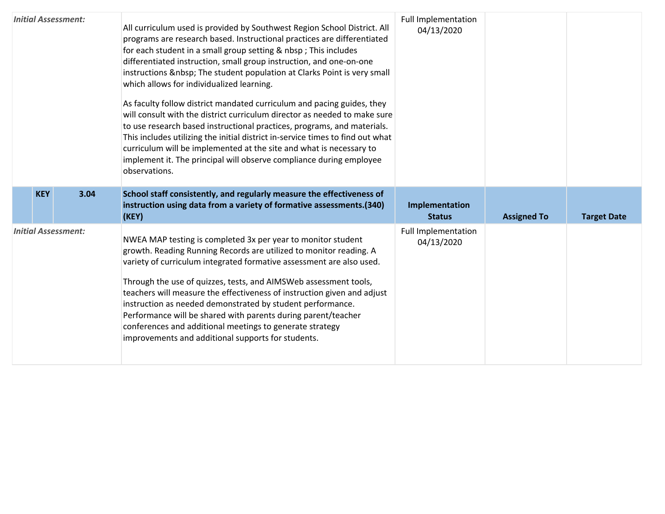| <b>Initial Assessment:</b> |      | All curriculum used is provided by Southwest Region School District. All<br>programs are research based. Instructional practices are differentiated<br>for each student in a small group setting & nbsp; This includes<br>differentiated instruction, small group instruction, and one-on-one<br>instructions   The student population at Clarks Point is very small<br>which allows for individualized learning.<br>As faculty follow district mandated curriculum and pacing guides, they<br>will consult with the district curriculum director as needed to make sure<br>to use research based instructional practices, programs, and materials.<br>This includes utilizing the initial district in-service times to find out what<br>curriculum will be implemented at the site and what is necessary to<br>implement it. The principal will observe compliance during employee<br>observations. | Full Implementation<br>04/13/2020        |                    |                    |
|----------------------------|------|------------------------------------------------------------------------------------------------------------------------------------------------------------------------------------------------------------------------------------------------------------------------------------------------------------------------------------------------------------------------------------------------------------------------------------------------------------------------------------------------------------------------------------------------------------------------------------------------------------------------------------------------------------------------------------------------------------------------------------------------------------------------------------------------------------------------------------------------------------------------------------------------------|------------------------------------------|--------------------|--------------------|
| <b>KEY</b>                 | 3.04 | School staff consistently, and regularly measure the effectiveness of<br>instruction using data from a variety of formative assessments.(340)<br>(KEY)                                                                                                                                                                                                                                                                                                                                                                                                                                                                                                                                                                                                                                                                                                                                               | Implementation<br><b>Status</b>          | <b>Assigned To</b> | <b>Target Date</b> |
| <b>Initial Assessment:</b> |      | NWEA MAP testing is completed 3x per year to monitor student<br>growth. Reading Running Records are utilized to monitor reading. A<br>variety of curriculum integrated formative assessment are also used.<br>Through the use of quizzes, tests, and AIMSWeb assessment tools,<br>teachers will measure the effectiveness of instruction given and adjust<br>instruction as needed demonstrated by student performance.<br>Performance will be shared with parents during parent/teacher<br>conferences and additional meetings to generate strategy<br>improvements and additional supports for students.                                                                                                                                                                                                                                                                                           | <b>Full Implementation</b><br>04/13/2020 |                    |                    |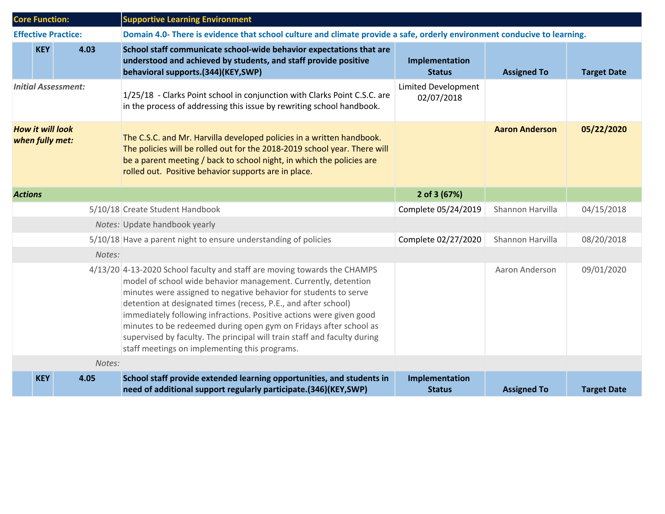| <b>Core Function:</b>                      |            |                            | <b>Supportive Learning Environment</b>                                                                                                                                                                                                                                                                                                                                                                                                                                                                                                                    |                                          |                       |                    |  |
|--------------------------------------------|------------|----------------------------|-----------------------------------------------------------------------------------------------------------------------------------------------------------------------------------------------------------------------------------------------------------------------------------------------------------------------------------------------------------------------------------------------------------------------------------------------------------------------------------------------------------------------------------------------------------|------------------------------------------|-----------------------|--------------------|--|
|                                            |            | <b>Effective Practice:</b> | Domain 4.0- There is evidence that school culture and climate provide a safe, orderly environment conducive to learning.                                                                                                                                                                                                                                                                                                                                                                                                                                  |                                          |                       |                    |  |
|                                            | <b>KEY</b> | 4.03                       | School staff communicate school-wide behavior expectations that are<br>understood and achieved by students, and staff provide positive<br>behavioral supports.(344)(KEY,SWP)                                                                                                                                                                                                                                                                                                                                                                              | Implementation<br><b>Status</b>          | <b>Assigned To</b>    | <b>Target Date</b> |  |
| <b>Initial Assessment:</b>                 |            |                            | 1/25/18 - Clarks Point school in conjunction with Clarks Point C.S.C. are<br>in the process of addressing this issue by rewriting school handbook.                                                                                                                                                                                                                                                                                                                                                                                                        | <b>Limited Development</b><br>02/07/2018 |                       |                    |  |
| <b>How it will look</b><br>when fully met: |            |                            | The C.S.C. and Mr. Harvilla developed policies in a written handbook.<br>The policies will be rolled out for the 2018-2019 school year. There will<br>be a parent meeting / back to school night, in which the policies are<br>rolled out. Positive behavior supports are in place.                                                                                                                                                                                                                                                                       |                                          | <b>Aaron Anderson</b> | 05/22/2020         |  |
| <b>Actions</b>                             |            |                            |                                                                                                                                                                                                                                                                                                                                                                                                                                                                                                                                                           | 2 of 3 (67%)                             |                       |                    |  |
|                                            |            |                            | 5/10/18 Create Student Handbook                                                                                                                                                                                                                                                                                                                                                                                                                                                                                                                           | Complete 05/24/2019                      | Shannon Harvilla      | 04/15/2018         |  |
|                                            |            |                            | Notes: Update handbook yearly                                                                                                                                                                                                                                                                                                                                                                                                                                                                                                                             |                                          |                       |                    |  |
|                                            |            |                            | 5/10/18 Have a parent night to ensure understanding of policies                                                                                                                                                                                                                                                                                                                                                                                                                                                                                           | Complete 02/27/2020                      | Shannon Harvilla      | 08/20/2018         |  |
|                                            |            | Notes:                     |                                                                                                                                                                                                                                                                                                                                                                                                                                                                                                                                                           |                                          |                       |                    |  |
|                                            |            |                            | 4/13/20 4-13-2020 School faculty and staff are moving towards the CHAMPS<br>model of school wide behavior management. Currently, detention<br>minutes were assigned to negative behavior for students to serve<br>detention at designated times (recess, P.E., and after school)<br>immediately following infractions. Positive actions were given good<br>minutes to be redeemed during open gym on Fridays after school as<br>supervised by faculty. The principal will train staff and faculty during<br>staff meetings on implementing this programs. |                                          | Aaron Anderson        | 09/01/2020         |  |
|                                            |            | Notes:                     |                                                                                                                                                                                                                                                                                                                                                                                                                                                                                                                                                           |                                          |                       |                    |  |
|                                            | <b>KEY</b> | 4.05                       | School staff provide extended learning opportunities, and students in<br>need of additional support regularly participate.(346)(KEY,SWP)                                                                                                                                                                                                                                                                                                                                                                                                                  | Implementation<br><b>Status</b>          | <b>Assigned To</b>    | <b>Target Date</b> |  |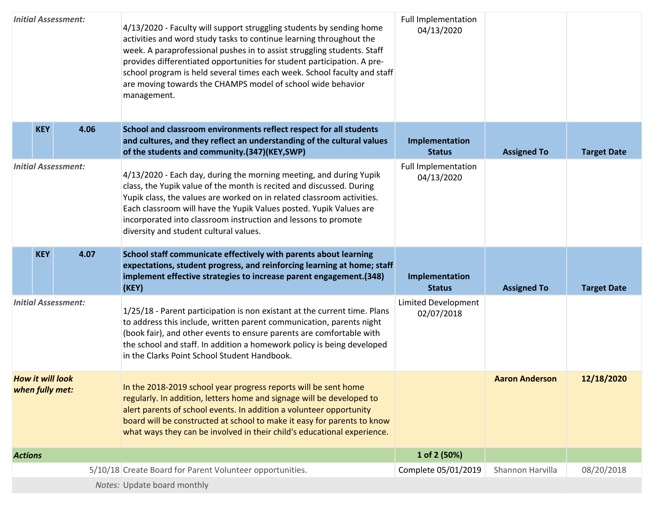| <b>Initial Assessment:</b>                 |      | 4/13/2020 - Faculty will support struggling students by sending home<br>activities and word study tasks to continue learning throughout the<br>week. A paraprofessional pushes in to assist struggling students. Staff<br>provides differentiated opportunities for student participation. A pre-<br>school program is held several times each week. School faculty and staff<br>are moving towards the CHAMPS model of school wide behavior<br>management. | <b>Full Implementation</b><br>04/13/2020 |                       |                    |
|--------------------------------------------|------|-------------------------------------------------------------------------------------------------------------------------------------------------------------------------------------------------------------------------------------------------------------------------------------------------------------------------------------------------------------------------------------------------------------------------------------------------------------|------------------------------------------|-----------------------|--------------------|
| <b>KEY</b>                                 | 4.06 | School and classroom environments reflect respect for all students<br>and cultures, and they reflect an understanding of the cultural values<br>of the students and community.(347)(KEY,SWP)                                                                                                                                                                                                                                                                | Implementation<br><b>Status</b>          | <b>Assigned To</b>    | <b>Target Date</b> |
| <b>Initial Assessment:</b>                 |      | 4/13/2020 - Each day, during the morning meeting, and during Yupik<br>class, the Yupik value of the month is recited and discussed. During<br>Yupik class, the values are worked on in related classroom activities.<br>Each classroom will have the Yupik Values posted. Yupik Values are<br>incorporated into classroom instruction and lessons to promote<br>diversity and student cultural values.                                                      | <b>Full Implementation</b><br>04/13/2020 |                       |                    |
| <b>KEY</b>                                 | 4.07 | School staff communicate effectively with parents about learning<br>expectations, student progress, and reinforcing learning at home; staff<br>implement effective strategies to increase parent engagement.(348)<br>(KEY)                                                                                                                                                                                                                                  | Implementation<br><b>Status</b>          | <b>Assigned To</b>    | <b>Target Date</b> |
| <b>Initial Assessment:</b>                 |      | 1/25/18 - Parent participation is non existant at the current time. Plans<br>to address this include, written parent communication, parents night<br>(book fair), and other events to ensure parents are comfortable with<br>the school and staff. In addition a homework policy is being developed<br>in the Clarks Point School Student Handbook.                                                                                                         | Limited Development<br>02/07/2018        |                       |                    |
| <b>How it will look</b><br>when fully met: |      | In the 2018-2019 school year progress reports will be sent home<br>regularly. In addition, letters home and signage will be developed to<br>alert parents of school events. In addition a volunteer opportunity<br>board will be constructed at school to make it easy for parents to know<br>what ways they can be involved in their child's educational experience.                                                                                       |                                          | <b>Aaron Anderson</b> | 12/18/2020         |
| <b>Actions</b>                             |      |                                                                                                                                                                                                                                                                                                                                                                                                                                                             | 1 of 2 (50%)                             |                       |                    |
|                                            |      | 5/10/18 Create Board for Parent Volunteer opportunities.                                                                                                                                                                                                                                                                                                                                                                                                    | Complete 05/01/2019                      | Shannon Harvilla      | 08/20/2018         |
|                                            |      | Notes: Update board monthly                                                                                                                                                                                                                                                                                                                                                                                                                                 |                                          |                       |                    |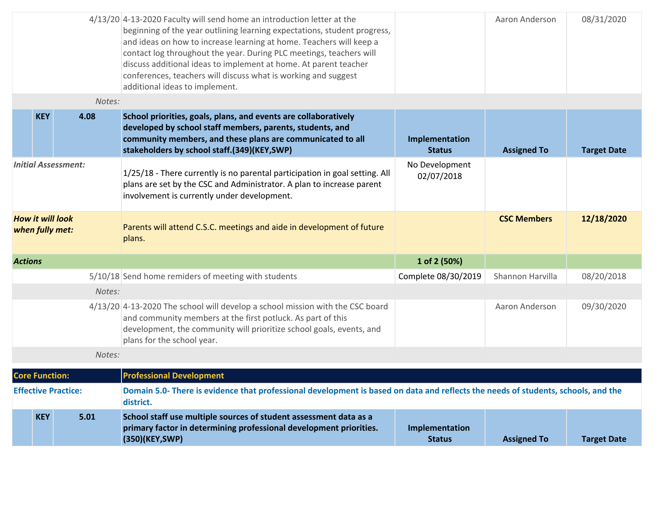| <b>KEY</b><br>5.01                         | School staff use multiple sources of student assessment data as a<br>primary factor in determining professional development priorities.                                                                                                                                                                                                                                                        | Implementation<br><b>Status</b>                                                                                                                                                                                                                                 | <b>Assigned To</b>                  | <b>Target Date</b>                                                                                                                                    |
|--------------------------------------------|------------------------------------------------------------------------------------------------------------------------------------------------------------------------------------------------------------------------------------------------------------------------------------------------------------------------------------------------------------------------------------------------|-----------------------------------------------------------------------------------------------------------------------------------------------------------------------------------------------------------------------------------------------------------------|-------------------------------------|-------------------------------------------------------------------------------------------------------------------------------------------------------|
| <b>Effective Practice:</b>                 | district.                                                                                                                                                                                                                                                                                                                                                                                      |                                                                                                                                                                                                                                                                 |                                     |                                                                                                                                                       |
| <b>Core Function:</b>                      | <b>Professional Development</b>                                                                                                                                                                                                                                                                                                                                                                |                                                                                                                                                                                                                                                                 |                                     |                                                                                                                                                       |
|                                            |                                                                                                                                                                                                                                                                                                                                                                                                |                                                                                                                                                                                                                                                                 |                                     |                                                                                                                                                       |
|                                            | and community members at the first potluck. As part of this<br>development, the community will prioritize school goals, events, and<br>plans for the school year.                                                                                                                                                                                                                              |                                                                                                                                                                                                                                                                 | Aaron Anderson                      | 09/30/2020                                                                                                                                            |
|                                            |                                                                                                                                                                                                                                                                                                                                                                                                |                                                                                                                                                                                                                                                                 |                                     |                                                                                                                                                       |
|                                            |                                                                                                                                                                                                                                                                                                                                                                                                |                                                                                                                                                                                                                                                                 |                                     | 08/20/2018                                                                                                                                            |
|                                            |                                                                                                                                                                                                                                                                                                                                                                                                |                                                                                                                                                                                                                                                                 |                                     |                                                                                                                                                       |
| <b>How it will look</b><br>when fully met: | Parents will attend C.S.C. meetings and aide in development of future<br>plans.                                                                                                                                                                                                                                                                                                                |                                                                                                                                                                                                                                                                 | <b>CSC Members</b>                  | 12/18/2020                                                                                                                                            |
| <b>Initial Assessment:</b>                 | 1/25/18 - There currently is no parental participation in goal setting. All<br>plans are set by the CSC and Administrator. A plan to increase parent<br>involvement is currently under development.                                                                                                                                                                                            | No Development<br>02/07/2018                                                                                                                                                                                                                                    |                                     |                                                                                                                                                       |
| <b>KEY</b><br>4.08                         | School priorities, goals, plans, and events are collaboratively<br>developed by school staff members, parents, students, and<br>community members, and these plans are communicated to all<br>stakeholders by school staff.(349)(KEY,SWP)                                                                                                                                                      | Implementation<br><b>Status</b>                                                                                                                                                                                                                                 | <b>Assigned To</b>                  | <b>Target Date</b>                                                                                                                                    |
|                                            |                                                                                                                                                                                                                                                                                                                                                                                                |                                                                                                                                                                                                                                                                 |                                     |                                                                                                                                                       |
|                                            | beginning of the year outlining learning expectations, student progress,<br>and ideas on how to increase learning at home. Teachers will keep a<br>contact log throughout the year. During PLC meetings, teachers will<br>discuss additional ideas to implement at home. At parent teacher<br>conferences, teachers will discuss what is working and suggest<br>additional ideas to implement. |                                                                                                                                                                                                                                                                 | Aaron Anderson                      | 08/31/2020                                                                                                                                            |
|                                            |                                                                                                                                                                                                                                                                                                                                                                                                | 4/13/20 4-13-2020 Faculty will send home an introduction letter at the<br>Notes:<br>5/10/18 Send home remiders of meeting with students<br>Notes:<br>4/13/20 4-13-2020 The school will develop a school mission with the CSC board<br>Notes:<br>(350)(KEY, SWP) | 1 of 2 (50%)<br>Complete 08/30/2019 | Shannon Harvilla<br>Domain 5.0- There is evidence that professional development is based on data and reflects the needs of students, schools, and the |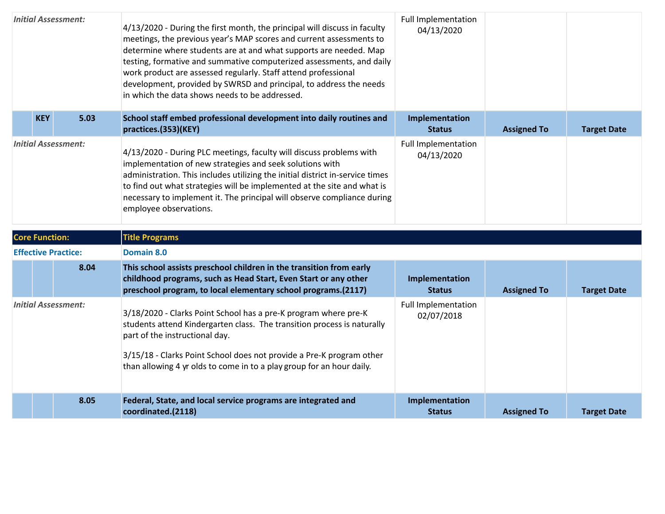| <b>Initial Assessment:</b> |            |                            | 4/13/2020 - During the first month, the principal will discuss in faculty<br>meetings, the previous year's MAP scores and current assessments to<br>determine where students are at and what supports are needed. Map<br>testing, formative and summative computerized assessments, and daily<br>work product are assessed regularly. Staff attend professional<br>development, provided by SWRSD and principal, to address the needs<br>in which the data shows needs to be addressed. | <b>Full Implementation</b><br>04/13/2020 |                    |                    |
|----------------------------|------------|----------------------------|-----------------------------------------------------------------------------------------------------------------------------------------------------------------------------------------------------------------------------------------------------------------------------------------------------------------------------------------------------------------------------------------------------------------------------------------------------------------------------------------|------------------------------------------|--------------------|--------------------|
|                            | <b>KEY</b> | 5.03                       | School staff embed professional development into daily routines and<br>practices.(353)(KEY)                                                                                                                                                                                                                                                                                                                                                                                             | Implementation<br><b>Status</b>          | <b>Assigned To</b> | <b>Target Date</b> |
| <b>Initial Assessment:</b> |            |                            | 4/13/2020 - During PLC meetings, faculty will discuss problems with<br>implementation of new strategies and seek solutions with<br>administration. This includes utilizing the initial district in-service times<br>to find out what strategies will be implemented at the site and what is<br>necessary to implement it. The principal will observe compliance during<br>employee observations.                                                                                        | <b>Full Implementation</b><br>04/13/2020 |                    |                    |
| <b>Core Function:</b>      |            |                            | <b>Title Programs</b>                                                                                                                                                                                                                                                                                                                                                                                                                                                                   |                                          |                    |                    |
|                            |            | <b>Effective Practice:</b> | Domain 8.0                                                                                                                                                                                                                                                                                                                                                                                                                                                                              |                                          |                    |                    |
|                            |            | 8.04                       | This school assists preschool children in the transition from early<br>childhood programs, such as Head Start, Even Start or any other<br>preschool program, to local elementary school programs.(2117)                                                                                                                                                                                                                                                                                 | Implementation<br><b>Status</b>          | <b>Assigned To</b> | <b>Target Date</b> |
| <b>Initial Assessment:</b> |            |                            | 3/18/2020 - Clarks Point School has a pre-K program where pre-K<br>students attend Kindergarten class. The transition process is naturally<br>part of the instructional day.<br>3/15/18 - Clarks Point School does not provide a Pre-K program other<br>than allowing 4 yr olds to come in to a play group for an hour daily.                                                                                                                                                           | <b>Full Implementation</b><br>02/07/2018 |                    |                    |
| 8.05                       |            |                            |                                                                                                                                                                                                                                                                                                                                                                                                                                                                                         |                                          |                    |                    |